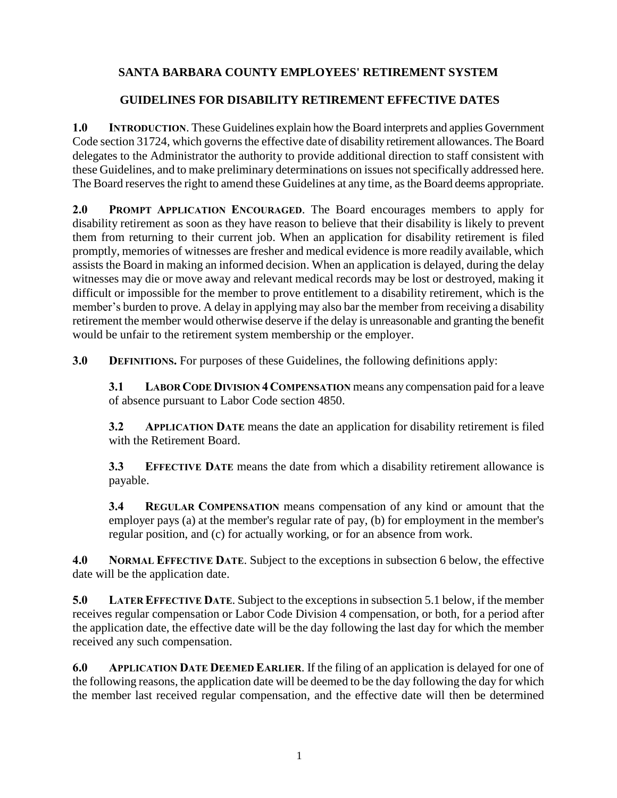## **SANTA BARBARA COUNTY EMPLOYEES' RETIREMENT SYSTEM**

## **GUIDELINES FOR DISABILITY RETIREMENT EFFECTIVE DATES**

**1.0 INTRODUCTION**. These Guidelines explain how the Board interprets and applies Government Code section 31724, which governs the effective date of disability retirement allowances. The Board delegates to the Administrator the authority to provide additional direction to staff consistent with these Guidelines, and to make preliminary determinations on issues not specifically addressed here. The Board reserves the right to amend these Guidelines at any time, as the Board deems appropriate.

**2.0 PROMPT APPLICATION ENCOURAGED**. The Board encourages members to apply for disability retirement as soon as they have reason to believe that their disability is likely to prevent them from returning to their current job. When an application for disability retirement is filed promptly, memories of witnesses are fresher and medical evidence is more readily available, which assists the Board in making an informed decision. When an application is delayed, during the delay witnesses may die or move away and relevant medical records may be lost or destroyed, making it difficult or impossible for the member to prove entitlement to a disability retirement, which is the member's burden to prove. A delay in applying may also bar the member from receiving a disability retirement the member would otherwise deserve if the delay is unreasonable and granting the benefit would be unfair to the retirement system membership or the employer.

**3.0 DEFINITIONS.** For purposes of these Guidelines, the following definitions apply:

**3.1 LABOR CODE DIVISION 4 COMPENSATION** means any compensation paid for a leave of absence pursuant to Labor Code section 4850.

**3.2 APPLICATION DATE** means the date an application for disability retirement is filed with the Retirement Board.

**3.3 EFFECTIVE DATE** means the date from which a disability retirement allowance is payable.

**3.4 REGULAR COMPENSATION** means compensation of any kind or amount that the employer pays (a) at the member's regular rate of pay, (b) for employment in the member's regular position, and (c) for actually working, or for an absence from work.

**4.0 NORMAL EFFECTIVE DATE**. Subject to the exceptions in subsection 6 below, the effective date will be the application date.

**5.0 LATER EFFECTIVE DATE**. Subject to the exceptions in subsection 5.1 below, if the member receives regular compensation or Labor Code Division 4 compensation, or both, for a period after the application date, the effective date will be the day following the last day for which the member received any such compensation.

**6.0 APPLICATION DATE DEEMED EARLIER**. If the filing of an application is delayed for one of the following reasons, the application date will be deemed to be the day following the day for which the member last received regular compensation, and the effective date will then be determined